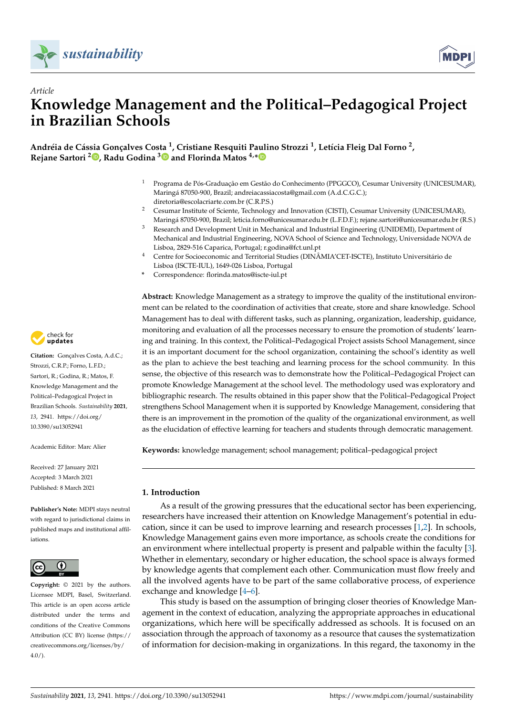



# *Article* **Knowledge Management and the Political–Pedagogical Project in Brazilian Schools**

**Andréia de Cássia Gonçalves Costa <sup>1</sup> , Cristiane Resquiti Paulino Strozzi <sup>1</sup> , Letícia Fleig Dal Forno <sup>2</sup> , Rejane Sartori <sup>2</sup> [,](https://orcid.org/0000-0001-9116-5860) Radu Godina [3](https://orcid.org/0000-0003-1244-5624) and Florinda Matos 4,[\\*](https://orcid.org/0000-0002-9306-7313)**

- <sup>1</sup> Programa de Pós-Graduação em Gestão do Conhecimento (PPGGCO), Cesumar University (UNICESUMAR), Maringá 87050-900, Brazil; andreiacassiacosta@gmail.com (A.d.C.G.C.); diretoria@escolacriarte.com.br (C.R.P.S.)
- <sup>2</sup> Cesumar Institute of Sciente, Technology and Innovation (CISTI), Cesumar University (UNICESUMAR), Maringá 87050-900, Brazil; leticia.forno@unicesumar.edu.br (L.F.D.F.); rejane.sartori@unicesumar.edu.br (R.S.)
- <sup>3</sup> Research and Development Unit in Mechanical and Industrial Engineering (UNIDEMI), Department of Mechanical and Industrial Engineering, NOVA School of Science and Technology, Universidade NOVA de Lisboa, 2829-516 Caparica, Portugal; r.godina@fct.unl.pt
- <sup>4</sup> Centre for Socioeconomic and Territorial Studies (DINÂMIA'CET-ISCTE), Instituto Universitário de Lisboa (ISCTE-IUL), 1649-026 Lisboa, Portugal
- **\*** Correspondence: florinda.matos@iscte-iul.pt

**Abstract:** Knowledge Management as a strategy to improve the quality of the institutional environment can be related to the coordination of activities that create, store and share knowledge. School Management has to deal with different tasks, such as planning, organization, leadership, guidance, monitoring and evaluation of all the processes necessary to ensure the promotion of students' learning and training. In this context, the Political–Pedagogical Project assists School Management, since it is an important document for the school organization, containing the school's identity as well as the plan to achieve the best teaching and learning process for the school community. In this sense, the objective of this research was to demonstrate how the Political–Pedagogical Project can promote Knowledge Management at the school level. The methodology used was exploratory and bibliographic research. The results obtained in this paper show that the Political–Pedagogical Project strengthens School Management when it is supported by Knowledge Management, considering that there is an improvement in the promotion of the quality of the organizational environment, as well as the elucidation of effective learning for teachers and students through democratic management.

**Keywords:** knowledge management; school management; political–pedagogical project

## **1. Introduction**

As a result of the growing pressures that the educational sector has been experiencing, researchers have increased their attention on Knowledge Management's potential in education, since it can be used to improve learning and research processes [\[1,](#page-10-0)[2\]](#page-10-1). In schools, Knowledge Management gains even more importance, as schools create the conditions for an environment where intellectual property is present and palpable within the faculty [\[3\]](#page-10-2). Whether in elementary, secondary or higher education, the school space is always formed by knowledge agents that complement each other. Communication must flow freely and all the involved agents have to be part of the same collaborative process, of experience exchange and knowledge [\[4](#page-10-3)[–6\]](#page-10-4).

This study is based on the assumption of bringing closer theories of Knowledge Management in the context of education, analyzing the appropriate approaches in educational organizations, which here will be specifically addressed as schools. It is focused on an association through the approach of taxonomy as a resource that causes the systematization of information for decision-making in organizations. In this regard, the taxonomy in the



**Citation:** Gonçalves Costa, A.d.C.; Strozzi, C.R.P.; Forno, L.F.D.; Sartori, R.; Godina, R.; Matos, F. Knowledge Management and the Political–Pedagogical Project in Brazilian Schools. *Sustainability* **2021**, *13*, 2941. [https://doi.org/](https://doi.org/10.3390/su13052941) [10.3390/su13052941](https://doi.org/10.3390/su13052941)

Academic Editor: Marc Alier

Received: 27 January 2021 Accepted: 3 March 2021 Published: 8 March 2021

**Publisher's Note:** MDPI stays neutral with regard to jurisdictional claims in published maps and institutional affiliations.



**Copyright:** © 2021 by the authors. Licensee MDPI, Basel, Switzerland. This article is an open access article distributed under the terms and conditions of the Creative Commons Attribution (CC BY) license (https:/[/](https://creativecommons.org/licenses/by/4.0/) [creativecommons.org/licenses/by/](https://creativecommons.org/licenses/by/4.0/)  $4.0/$ ).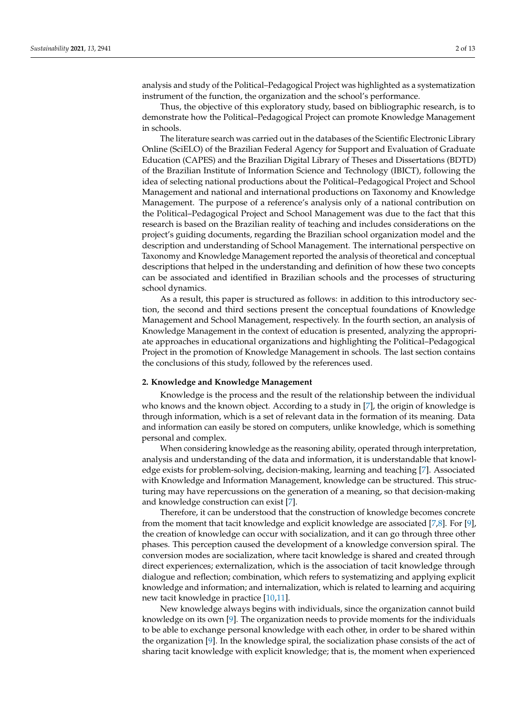analysis and study of the Political–Pedagogical Project was highlighted as a systematization instrument of the function, the organization and the school's performance.

Thus, the objective of this exploratory study, based on bibliographic research, is to demonstrate how the Political–Pedagogical Project can promote Knowledge Management in schools.

The literature search was carried out in the databases of the Scientific Electronic Library Online (SciELO) of the Brazilian Federal Agency for Support and Evaluation of Graduate Education (CAPES) and the Brazilian Digital Library of Theses and Dissertations (BDTD) of the Brazilian Institute of Information Science and Technology (IBICT), following the idea of selecting national productions about the Political–Pedagogical Project and School Management and national and international productions on Taxonomy and Knowledge Management. The purpose of a reference's analysis only of a national contribution on the Political–Pedagogical Project and School Management was due to the fact that this research is based on the Brazilian reality of teaching and includes considerations on the project's guiding documents, regarding the Brazilian school organization model and the description and understanding of School Management. The international perspective on Taxonomy and Knowledge Management reported the analysis of theoretical and conceptual descriptions that helped in the understanding and definition of how these two concepts can be associated and identified in Brazilian schools and the processes of structuring school dynamics.

As a result, this paper is structured as follows: in addition to this introductory section, the second and third sections present the conceptual foundations of Knowledge Management and School Management, respectively. In the fourth section, an analysis of Knowledge Management in the context of education is presented, analyzing the appropriate approaches in educational organizations and highlighting the Political–Pedagogical Project in the promotion of Knowledge Management in schools. The last section contains the conclusions of this study, followed by the references used.

#### **2. Knowledge and Knowledge Management**

Knowledge is the process and the result of the relationship between the individual who knows and the known object. According to a study in [\[7\]](#page-10-5), the origin of knowledge is through information, which is a set of relevant data in the formation of its meaning. Data and information can easily be stored on computers, unlike knowledge, which is something personal and complex.

When considering knowledge as the reasoning ability, operated through interpretation, analysis and understanding of the data and information, it is understandable that knowledge exists for problem-solving, decision-making, learning and teaching [\[7\]](#page-10-5). Associated with Knowledge and Information Management, knowledge can be structured. This structuring may have repercussions on the generation of a meaning, so that decision-making and knowledge construction can exist [\[7\]](#page-10-5).

Therefore, it can be understood that the construction of knowledge becomes concrete from the moment that tacit knowledge and explicit knowledge are associated [\[7,](#page-10-5)[8\]](#page-10-6). For [\[9\]](#page-10-7), the creation of knowledge can occur with socialization, and it can go through three other phases. This perception caused the development of a knowledge conversion spiral. The conversion modes are socialization, where tacit knowledge is shared and created through direct experiences; externalization, which is the association of tacit knowledge through dialogue and reflection; combination, which refers to systematizing and applying explicit knowledge and information; and internalization, which is related to learning and acquiring new tacit knowledge in practice [\[10,](#page-11-0)[11\]](#page-11-1).

New knowledge always begins with individuals, since the organization cannot build knowledge on its own [\[9\]](#page-10-7). The organization needs to provide moments for the individuals to be able to exchange personal knowledge with each other, in order to be shared within the organization [\[9\]](#page-10-7). In the knowledge spiral, the socialization phase consists of the act of sharing tacit knowledge with explicit knowledge; that is, the moment when experienced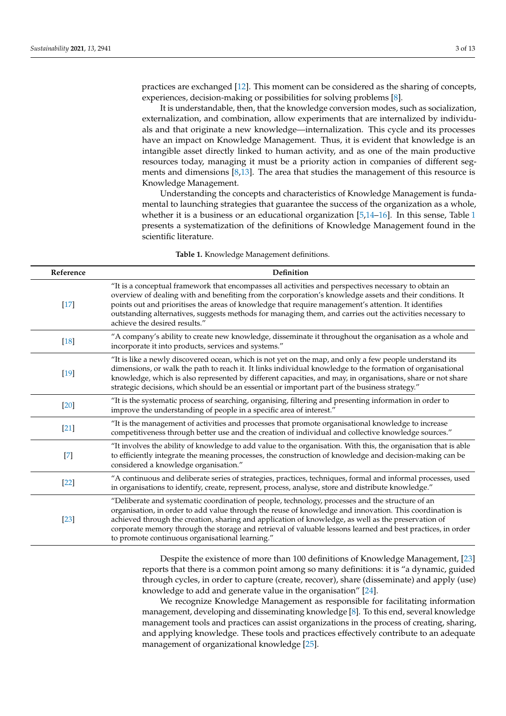practices are exchanged [\[12\]](#page-11-2). This moment can be considered as the sharing of concepts, experiences, decision-making or possibilities for solving problems [\[8\]](#page-10-6).

It is understandable, then, that the knowledge conversion modes, such as socialization, externalization, and combination, allow experiments that are internalized by individuals and that originate a new knowledge—internalization. This cycle and its processes have an impact on Knowledge Management. Thus, it is evident that knowledge is an intangible asset directly linked to human activity, and as one of the main productive resources today, managing it must be a priority action in companies of different segments and dimensions [\[8](#page-10-6)[,13\]](#page-11-3). The area that studies the management of this resource is Knowledge Management.

Understanding the concepts and characteristics of Knowledge Management is fundamental to launching strategies that guarantee the success of the organization as a whole, whether it is a business or an educational organization  $[5,14–16]$  $[5,14–16]$  $[5,14–16]$ . In this sense, Table [1](#page-2-0) presents a systematization of the definitions of Knowledge Management found in the scientific literature.

|  |  |  | <b>Table 1.</b> Knowledge Management definitions. |
|--|--|--|---------------------------------------------------|
|--|--|--|---------------------------------------------------|

<span id="page-2-0"></span>

| Reference         | Definition                                                                                                                                                                                                                                                                                                                                                                                                                                                                           |
|-------------------|--------------------------------------------------------------------------------------------------------------------------------------------------------------------------------------------------------------------------------------------------------------------------------------------------------------------------------------------------------------------------------------------------------------------------------------------------------------------------------------|
| $[17]$            | "It is a conceptual framework that encompasses all activities and perspectives necessary to obtain an<br>overview of dealing with and benefiting from the corporation's knowledge assets and their conditions. It<br>points out and prioritises the areas of knowledge that require management's attention. It identifies<br>outstanding alternatives, suggests methods for managing them, and carries out the activities necessary to<br>achieve the desired results."              |
| $[18]$            | "A company's ability to create new knowledge, disseminate it throughout the organisation as a whole and<br>incorporate it into products, services and systems."                                                                                                                                                                                                                                                                                                                      |
| $[19]$            | "It is like a newly discovered ocean, which is not yet on the map, and only a few people understand its<br>dimensions, or walk the path to reach it. It links individual knowledge to the formation of organisational<br>knowledge, which is also represented by different capacities, and may, in organisations, share or not share<br>strategic decisions, which should be an essential or important part of the business strategy."                                               |
| $[20]$            | "It is the systematic process of searching, organising, filtering and presenting information in order to<br>improve the understanding of people in a specific area of interest."                                                                                                                                                                                                                                                                                                     |
| $[21]$            | "It is the management of activities and processes that promote organisational knowledge to increase<br>competitiveness through better use and the creation of individual and collective knowledge sources."                                                                                                                                                                                                                                                                          |
| $[7]$             | "It involves the ability of knowledge to add value to the organisation. With this, the organisation that is able<br>to efficiently integrate the meaning processes, the construction of knowledge and decision-making can be<br>considered a knowledge organisation."                                                                                                                                                                                                                |
| $[22]$            | "A continuous and deliberate series of strategies, practices, techniques, formal and informal processes, used<br>in organisations to identify, create, represent, process, analyse, store and distribute knowledge."                                                                                                                                                                                                                                                                 |
| $\left[23\right]$ | "Deliberate and systematic coordination of people, technology, processes and the structure of an<br>organisation, in order to add value through the reuse of knowledge and innovation. This coordination is<br>achieved through the creation, sharing and application of knowledge, as well as the preservation of<br>corporate memory through the storage and retrieval of valuable lessons learned and best practices, in order<br>to promote continuous organisational learning." |

Despite the existence of more than 100 definitions of Knowledge Management, [\[23\]](#page-11-12) reports that there is a common point among so many definitions: it is "a dynamic, guided through cycles, in order to capture (create, recover), share (disseminate) and apply (use) knowledge to add and generate value in the organisation" [\[24\]](#page-11-13).

We recognize Knowledge Management as responsible for facilitating information management, developing and disseminating knowledge [\[8\]](#page-10-6). To this end, several knowledge management tools and practices can assist organizations in the process of creating, sharing, and applying knowledge. These tools and practices effectively contribute to an adequate management of organizational knowledge [\[25\]](#page-11-14).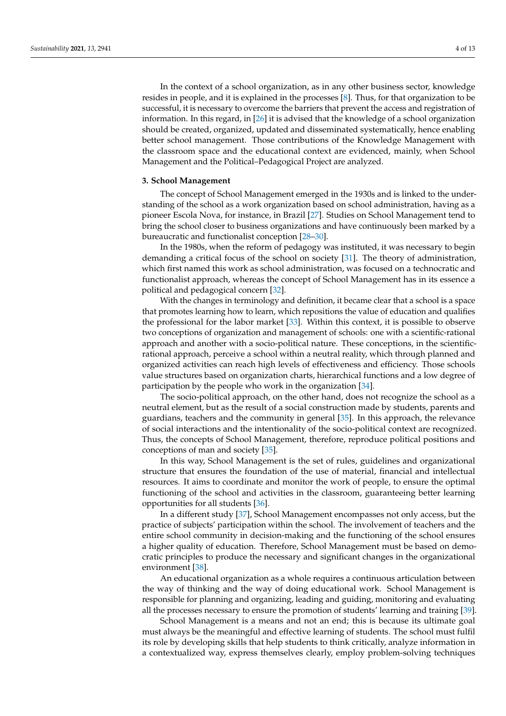In the context of a school organization, as in any other business sector, knowledge resides in people, and it is explained in the processes [\[8\]](#page-10-6). Thus, for that organization to be successful, it is necessary to overcome the barriers that prevent the access and registration of information. In this regard, in [\[26\]](#page-11-15) it is advised that the knowledge of a school organization should be created, organized, updated and disseminated systematically, hence enabling better school management. Those contributions of the Knowledge Management with the classroom space and the educational context are evidenced, mainly, when School Management and the Political–Pedagogical Project are analyzed.

## **3. School Management**

The concept of School Management emerged in the 1930s and is linked to the understanding of the school as a work organization based on school administration, having as a pioneer Escola Nova, for instance, in Brazil [\[27\]](#page-11-16). Studies on School Management tend to bring the school closer to business organizations and have continuously been marked by a bureaucratic and functionalist conception [\[28–](#page-11-17)[30\]](#page-11-18).

In the 1980s, when the reform of pedagogy was instituted, it was necessary to begin demanding a critical focus of the school on society [\[31\]](#page-11-19). The theory of administration, which first named this work as school administration, was focused on a technocratic and functionalist approach, whereas the concept of School Management has in its essence a political and pedagogical concern [\[32\]](#page-11-20).

With the changes in terminology and definition, it became clear that a school is a space that promotes learning how to learn, which repositions the value of education and qualifies the professional for the labor market [\[33\]](#page-11-21). Within this context, it is possible to observe two conceptions of organization and management of schools: one with a scientific-rational approach and another with a socio-political nature. These conceptions, in the scientificrational approach, perceive a school within a neutral reality, which through planned and organized activities can reach high levels of effectiveness and efficiency. Those schools value structures based on organization charts, hierarchical functions and a low degree of participation by the people who work in the organization [\[34\]](#page-11-22).

The socio-political approach, on the other hand, does not recognize the school as a neutral element, but as the result of a social construction made by students, parents and guardians, teachers and the community in general [\[35\]](#page-11-23). In this approach, the relevance of social interactions and the intentionality of the socio-political context are recognized. Thus, the concepts of School Management, therefore, reproduce political positions and conceptions of man and society [\[35\]](#page-11-23).

In this way, School Management is the set of rules, guidelines and organizational structure that ensures the foundation of the use of material, financial and intellectual resources. It aims to coordinate and monitor the work of people, to ensure the optimal functioning of the school and activities in the classroom, guaranteeing better learning opportunities for all students [\[36\]](#page-11-24).

In a different study [\[37\]](#page-11-25), School Management encompasses not only access, but the practice of subjects' participation within the school. The involvement of teachers and the entire school community in decision-making and the functioning of the school ensures a higher quality of education. Therefore, School Management must be based on democratic principles to produce the necessary and significant changes in the organizational environment [\[38\]](#page-11-26).

An educational organization as a whole requires a continuous articulation between the way of thinking and the way of doing educational work. School Management is responsible for planning and organizing, leading and guiding, monitoring and evaluating all the processes necessary to ensure the promotion of students' learning and training [\[39\]](#page-11-27).

School Management is a means and not an end; this is because its ultimate goal must always be the meaningful and effective learning of students. The school must fulfil its role by developing skills that help students to think critically, analyze information in a contextualized way, express themselves clearly, employ problem-solving techniques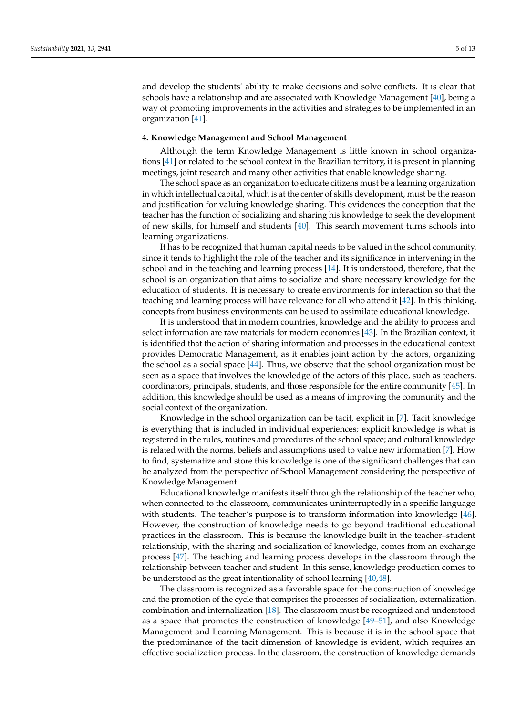and develop the students' ability to make decisions and solve conflicts. It is clear that schools have a relationship and are associated with Knowledge Management [\[40\]](#page-11-28), being a way of promoting improvements in the activities and strategies to be implemented in an organization [\[41\]](#page-11-29).

## **4. Knowledge Management and School Management**

Although the term Knowledge Management is little known in school organizations [\[41\]](#page-11-29) or related to the school context in the Brazilian territory, it is present in planning meetings, joint research and many other activities that enable knowledge sharing.

The school space as an organization to educate citizens must be a learning organization in which intellectual capital, which is at the center of skills development, must be the reason and justification for valuing knowledge sharing. This evidences the conception that the teacher has the function of socializing and sharing his knowledge to seek the development of new skills, for himself and students [\[40\]](#page-11-28). This search movement turns schools into learning organizations.

It has to be recognized that human capital needs to be valued in the school community, since it tends to highlight the role of the teacher and its significance in intervening in the school and in the teaching and learning process [\[14\]](#page-11-4). It is understood, therefore, that the school is an organization that aims to socialize and share necessary knowledge for the education of students. It is necessary to create environments for interaction so that the teaching and learning process will have relevance for all who attend it [\[42\]](#page-11-30). In this thinking, concepts from business environments can be used to assimilate educational knowledge.

It is understood that in modern countries, knowledge and the ability to process and select information are raw materials for modern economies [\[43\]](#page-11-31). In the Brazilian context, it is identified that the action of sharing information and processes in the educational context provides Democratic Management, as it enables joint action by the actors, organizing the school as a social space [\[44\]](#page-11-32). Thus, we observe that the school organization must be seen as a space that involves the knowledge of the actors of this place, such as teachers, coordinators, principals, students, and those responsible for the entire community [\[45\]](#page-12-0). In addition, this knowledge should be used as a means of improving the community and the social context of the organization.

Knowledge in the school organization can be tacit, explicit in [\[7\]](#page-10-5). Tacit knowledge is everything that is included in individual experiences; explicit knowledge is what is registered in the rules, routines and procedures of the school space; and cultural knowledge is related with the norms, beliefs and assumptions used to value new information [\[7\]](#page-10-5). How to find, systematize and store this knowledge is one of the significant challenges that can be analyzed from the perspective of School Management considering the perspective of Knowledge Management.

Educational knowledge manifests itself through the relationship of the teacher who, when connected to the classroom, communicates uninterruptedly in a specific language with students. The teacher's purpose is to transform information into knowledge [\[46\]](#page-12-1). However, the construction of knowledge needs to go beyond traditional educational practices in the classroom. This is because the knowledge built in the teacher–student relationship, with the sharing and socialization of knowledge, comes from an exchange process [\[47\]](#page-12-2). The teaching and learning process develops in the classroom through the relationship between teacher and student. In this sense, knowledge production comes to be understood as the great intentionality of school learning [\[40,](#page-11-28)[48\]](#page-12-3).

The classroom is recognized as a favorable space for the construction of knowledge and the promotion of the cycle that comprises the processes of socialization, externalization, combination and internalization [\[18\]](#page-11-7). The classroom must be recognized and understood as a space that promotes the construction of knowledge [\[49–](#page-12-4)[51\]](#page-12-5), and also Knowledge Management and Learning Management. This is because it is in the school space that the predominance of the tacit dimension of knowledge is evident, which requires an effective socialization process. In the classroom, the construction of knowledge demands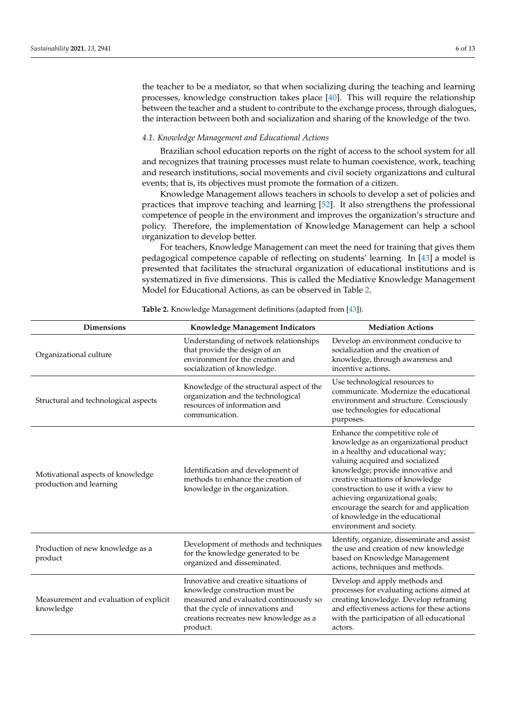the teacher to be a mediator, so that when socializing during the teaching and learning processes, knowledge construction takes place [\[40\]](#page-11-28). This will require the relationship between the teacher and a student to contribute to the exchange process, through dialogues, the interaction between both and socialization and sharing of the knowledge of the two.

#### *4.1. Knowledge Management and Educational Actions*

Brazilian school education reports on the right of access to the school system for all and recognizes that training processes must relate to human coexistence, work, teaching and research institutions, social movements and civil society organizations and cultural events; that is, its objectives must promote the formation of a citizen.

Knowledge Management allows teachers in schools to develop a set of policies and practices that improve teaching and learning [\[52\]](#page-12-6). It also strengthens the professional competence of people in the environment and improves the organization's structure and policy. Therefore, the implementation of Knowledge Management can help a school organization to develop better.

For teachers, Knowledge Management can meet the need for training that gives them pedagogical competence capable of reflecting on students' learning. In [\[43\]](#page-11-31) a model is presented that facilitates the structural organization of educational institutions and is systematized in five dimensions. This is called the Mediative Knowledge Management Model for Educational Actions, as can be observed in Table [2.](#page-5-0)

<span id="page-5-0"></span>

| <b>Dimensions</b>                                            | Knowledge Management Indicators                                                                                                                                                                              | <b>Mediation Actions</b>                                                                                                                                                                                                                                                                                                                                                                                          |
|--------------------------------------------------------------|--------------------------------------------------------------------------------------------------------------------------------------------------------------------------------------------------------------|-------------------------------------------------------------------------------------------------------------------------------------------------------------------------------------------------------------------------------------------------------------------------------------------------------------------------------------------------------------------------------------------------------------------|
| Organizational culture                                       | Understanding of network relationships<br>that provide the design of an<br>environment for the creation and<br>socialization of knowledge.                                                                   | Develop an environment conducive to<br>socialization and the creation of<br>knowledge, through awareness and<br>incentive actions.                                                                                                                                                                                                                                                                                |
| Structural and technological aspects                         | Knowledge of the structural aspect of the<br>organization and the technological<br>resources of information and<br>communication.                                                                            | Use technological resources to<br>communicate. Modernize the educational<br>environment and structure. Consciously<br>use technologies for educational<br>purposes.                                                                                                                                                                                                                                               |
| Motivational aspects of knowledge<br>production and learning | Identification and development of<br>methods to enhance the creation of<br>knowledge in the organization.                                                                                                    | Enhance the competitive role of<br>knowledge as an organizational product<br>in a healthy and educational way;<br>valuing acquired and socialized<br>knowledge; provide innovative and<br>creative situations of knowledge<br>construction to use it with a view to<br>achieving organizational goals;<br>encourage the search for and application<br>of knowledge in the educational<br>environment and society. |
| Production of new knowledge as a<br>product                  | Development of methods and techniques<br>for the knowledge generated to be<br>organized and disseminated.                                                                                                    | Identify, organize, disseminate and assist<br>the use and creation of new knowledge<br>based on Knowledge Management<br>actions, techniques and methods.                                                                                                                                                                                                                                                          |
| Measurement and evaluation of explicit<br>knowledge          | Innovative and creative situations of<br>knowledge construction must be<br>measured and evaluated continuously so<br>that the cycle of innovations and<br>creations recreates new knowledge as a<br>product. | Develop and apply methods and<br>processes for evaluating actions aimed at<br>creating knowledge. Develop reframing<br>and effectiveness actions for these actions<br>with the participation of all educational<br>actors.                                                                                                                                                                                        |

**Table 2.** Knowledge Management definitions (adapted from [\[43\]](#page-11-31)).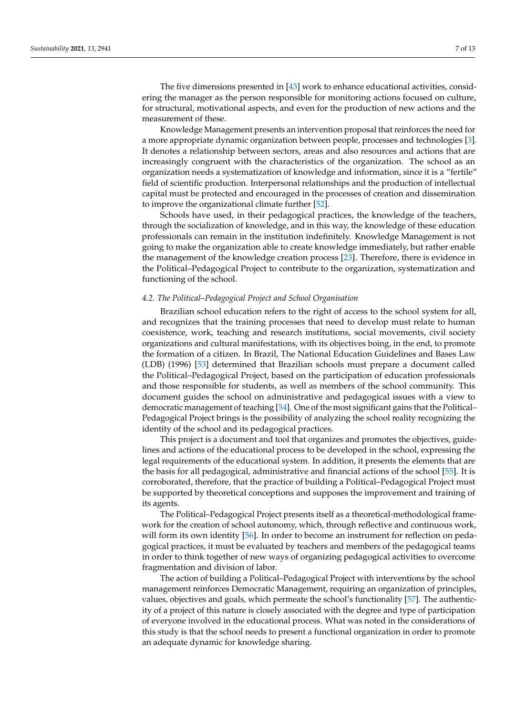The five dimensions presented in [\[43\]](#page-11-31) work to enhance educational activities, considering the manager as the person responsible for monitoring actions focused on culture, for structural, motivational aspects, and even for the production of new actions and the measurement of these.

Knowledge Management presents an intervention proposal that reinforces the need for a more appropriate dynamic organization between people, processes and technologies [\[3\]](#page-10-2). It denotes a relationship between sectors, areas and also resources and actions that are increasingly congruent with the characteristics of the organization. The school as an organization needs a systematization of knowledge and information, since it is a "fertile" field of scientific production. Interpersonal relationships and the production of intellectual capital must be protected and encouraged in the processes of creation and dissemination to improve the organizational climate further [\[52\]](#page-12-6).

Schools have used, in their pedagogical practices, the knowledge of the teachers, through the socialization of knowledge, and in this way, the knowledge of these education professionals can remain in the institution indefinitely. Knowledge Management is not going to make the organization able to create knowledge immediately, but rather enable the management of the knowledge creation process [\[23\]](#page-11-12). Therefore, there is evidence in the Political–Pedagogical Project to contribute to the organization, systematization and functioning of the school.

## *4.2. The Political–Pedagogical Project and School Organisation*

Brazilian school education refers to the right of access to the school system for all, and recognizes that the training processes that need to develop must relate to human coexistence, work, teaching and research institutions, social movements, civil society organizations and cultural manifestations, with its objectives boing, in the end, to promote the formation of a citizen. In Brazil, The National Education Guidelines and Bases Law (LDB) (1996) [\[53\]](#page-12-7) determined that Brazilian schools must prepare a document called the Political–Pedagogical Project, based on the participation of education professionals and those responsible for students, as well as members of the school community. This document guides the school on administrative and pedagogical issues with a view to democratic management of teaching [\[54\]](#page-12-8). One of the most significant gains that the Political– Pedagogical Project brings is the possibility of analyzing the school reality recognizing the identity of the school and its pedagogical practices.

This project is a document and tool that organizes and promotes the objectives, guidelines and actions of the educational process to be developed in the school, expressing the legal requirements of the educational system. In addition, it presents the elements that are the basis for all pedagogical, administrative and financial actions of the school [\[55\]](#page-12-9). It is corroborated, therefore, that the practice of building a Political–Pedagogical Project must be supported by theoretical conceptions and supposes the improvement and training of its agents.

The Political–Pedagogical Project presents itself as a theoretical-methodological framework for the creation of school autonomy, which, through reflective and continuous work, will form its own identity [\[56\]](#page-12-10). In order to become an instrument for reflection on pedagogical practices, it must be evaluated by teachers and members of the pedagogical teams in order to think together of new ways of organizing pedagogical activities to overcome fragmentation and division of labor.

The action of building a Political–Pedagogical Project with interventions by the school management reinforces Democratic Management, requiring an organization of principles, values, objectives and goals, which permeate the school's functionality [\[57\]](#page-12-11). The authenticity of a project of this nature is closely associated with the degree and type of participation of everyone involved in the educational process. What was noted in the considerations of this study is that the school needs to present a functional organization in order to promote an adequate dynamic for knowledge sharing.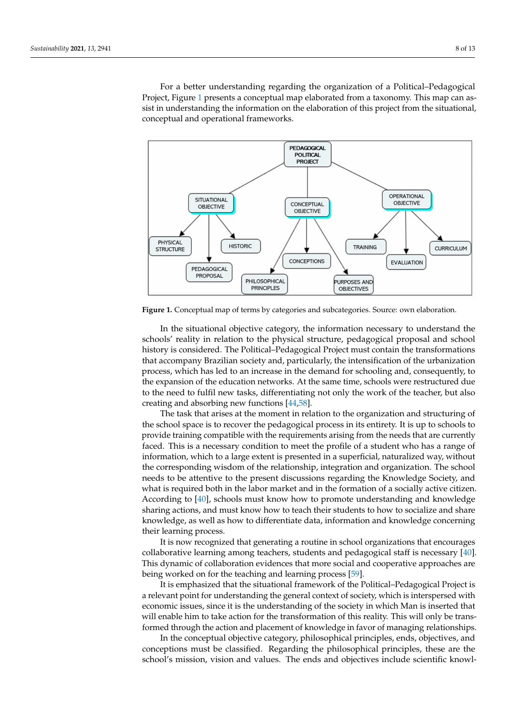For a better understanding regarding the organization of a Political–Pedagogical Project, Figure [1](#page-7-0) presents a conceptual map elaborated from a taxonomy. This map can assist in understanding the information on the elaboration of this project from the situational, conceptual and operational frameworks.

<span id="page-7-0"></span>

Figure 1. Conceptual map of terms by categories and subcategories. Source: own elaboration.

In the situational objective category, the information necessary to understand the schools' reality in relation to the physical structure, pedagogical proposal and school history is considered. The Political–Pedagogical Project must contain the transformations that accompany Brazilian society and, particularly, the intensification of the urbanization process, which has led to an increase in the demand for schooling and, consequently, to the expansion of the education networks. At the same time, schools were restructured due to the need to fulfil new tasks, differentiating not only the work of the teacher, but also creating and absorbing new functions [\[44,](#page-11-32)[58\]](#page-12-12).

The task that arises at the moment in relation to the organization and structuring of the school space is to recover the pedagogical process in its entirety. It is up to schools to provide training compatible with the requirements arising from the needs that are currently faced. This is a necessary condition to meet the profile of a student who has a range of information, which to a large extent is presented in a superficial, naturalized way, without the corresponding wisdom of the relationship, integration and organization. The school needs to be attentive to the present discussions regarding the Knowledge Society, and what is required both in the labor market and in the formation of a socially active citizen. According to [\[40\]](#page-11-28), schools must know how to promote understanding and knowledge sharing actions, and must know how to teach their students to how to socialize and share knowledge, as well as how to differentiate data, information and knowledge concerning their learning process.

It is now recognized that generating a routine in school organizations that encourages collaborative learning among teachers, students and pedagogical staff is necessary [\[40\]](#page-11-28). This dynamic of collaboration evidences that more social and cooperative approaches are being worked on for the teaching and learning process [\[59\]](#page-12-13).

It is emphasized that the situational framework of the Political–Pedagogical Project is a relevant point for understanding the general context of society, which is interspersed with economic issues, since it is the understanding of the society in which Man is inserted that will enable him to take action for the transformation of this reality. This will only be transformed through the action and placement of knowledge in favor of managing relationships.

In the conceptual objective category, philosophical principles, ends, objectives, and conceptions must be classified. Regarding the philosophical principles, these are the school's mission, vision and values. The ends and objectives include scientific knowl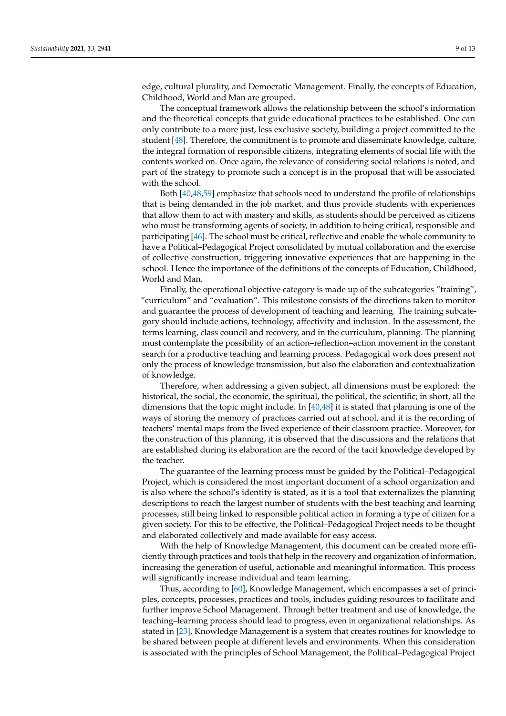edge, cultural plurality, and Democratic Management. Finally, the concepts of Education, Childhood, World and Man are grouped.

The conceptual framework allows the relationship between the school's information and the theoretical concepts that guide educational practices to be established. One can only contribute to a more just, less exclusive society, building a project committed to the student [\[48\]](#page-12-3). Therefore, the commitment is to promote and disseminate knowledge, culture, the integral formation of responsible citizens, integrating elements of social life with the contents worked on. Once again, the relevance of considering social relations is noted, and part of the strategy to promote such a concept is in the proposal that will be associated with the school.

Both [\[40](#page-11-28)[,48](#page-12-3)[,59\]](#page-12-13) emphasize that schools need to understand the profile of relationships that is being demanded in the job market, and thus provide students with experiences that allow them to act with mastery and skills, as students should be perceived as citizens who must be transforming agents of society, in addition to being critical, responsible and participating [\[46\]](#page-12-1). The school must be critical, reflective and enable the whole community to have a Political–Pedagogical Project consolidated by mutual collaboration and the exercise of collective construction, triggering innovative experiences that are happening in the school. Hence the importance of the definitions of the concepts of Education, Childhood, World and Man.

Finally, the operational objective category is made up of the subcategories "training", "curriculum" and "evaluation". This milestone consists of the directions taken to monitor and guarantee the process of development of teaching and learning. The training subcategory should include actions, technology, affectivity and inclusion. In the assessment, the terms learning, class council and recovery, and in the curriculum, planning. The planning must contemplate the possibility of an action–reflection–action movement in the constant search for a productive teaching and learning process. Pedagogical work does present not only the process of knowledge transmission, but also the elaboration and contextualization of knowledge.

Therefore, when addressing a given subject, all dimensions must be explored: the historical, the social, the economic, the spiritual, the political, the scientific; in short, all the dimensions that the topic might include. In [\[40](#page-11-28)[,48\]](#page-12-3) it is stated that planning is one of the ways of storing the memory of practices carried out at school, and it is the recording of teachers' mental maps from the lived experience of their classroom practice. Moreover, for the construction of this planning, it is observed that the discussions and the relations that are established during its elaboration are the record of the tacit knowledge developed by the teacher.

The guarantee of the learning process must be guided by the Political–Pedagogical Project, which is considered the most important document of a school organization and is also where the school's identity is stated, as it is a tool that externalizes the planning descriptions to reach the largest number of students with the best teaching and learning processes, still being linked to responsible political action in forming a type of citizen for a given society. For this to be effective, the Political–Pedagogical Project needs to be thought and elaborated collectively and made available for easy access.

With the help of Knowledge Management, this document can be created more efficiently through practices and tools that help in the recovery and organization of information, increasing the generation of useful, actionable and meaningful information. This process will significantly increase individual and team learning.

Thus, according to [\[60\]](#page-12-14), Knowledge Management, which encompasses a set of principles, concepts, processes, practices and tools, includes guiding resources to facilitate and further improve School Management. Through better treatment and use of knowledge, the teaching–learning process should lead to progress, even in organizational relationships. As stated in [\[23\]](#page-11-12), Knowledge Management is a system that creates routines for knowledge to be shared between people at different levels and environments. When this consideration is associated with the principles of School Management, the Political–Pedagogical Project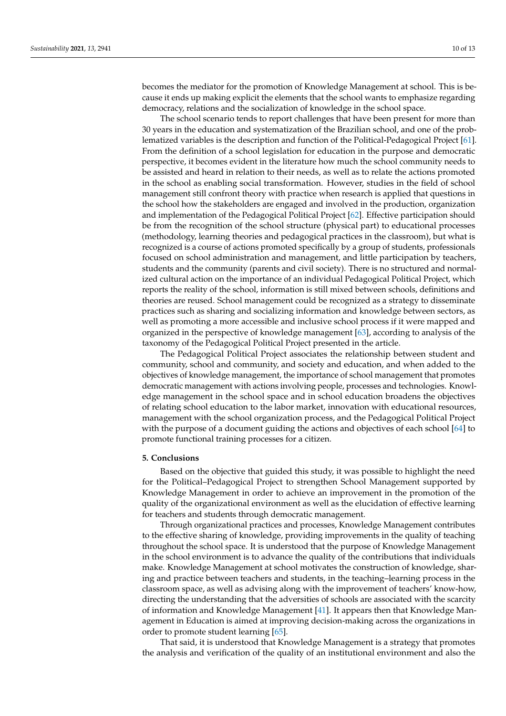becomes the mediator for the promotion of Knowledge Management at school. This is because it ends up making explicit the elements that the school wants to emphasize regarding democracy, relations and the socialization of knowledge in the school space.

The school scenario tends to report challenges that have been present for more than 30 years in the education and systematization of the Brazilian school, and one of the problematized variables is the description and function of the Political-Pedagogical Project [\[61\]](#page-12-15). From the definition of a school legislation for education in the purpose and democratic perspective, it becomes evident in the literature how much the school community needs to be assisted and heard in relation to their needs, as well as to relate the actions promoted in the school as enabling social transformation. However, studies in the field of school management still confront theory with practice when research is applied that questions in the school how the stakeholders are engaged and involved in the production, organization and implementation of the Pedagogical Political Project [\[62\]](#page-12-16). Effective participation should be from the recognition of the school structure (physical part) to educational processes (methodology, learning theories and pedagogical practices in the classroom), but what is recognized is a course of actions promoted specifically by a group of students, professionals focused on school administration and management, and little participation by teachers, students and the community (parents and civil society). There is no structured and normalized cultural action on the importance of an individual Pedagogical Political Project, which reports the reality of the school, information is still mixed between schools, definitions and theories are reused. School management could be recognized as a strategy to disseminate practices such as sharing and socializing information and knowledge between sectors, as well as promoting a more accessible and inclusive school process if it were mapped and organized in the perspective of knowledge management [\[63\]](#page-12-17), according to analysis of the taxonomy of the Pedagogical Political Project presented in the article.

The Pedagogical Political Project associates the relationship between student and community, school and community, and society and education, and when added to the objectives of knowledge management, the importance of school management that promotes democratic management with actions involving people, processes and technologies. Knowledge management in the school space and in school education broadens the objectives of relating school education to the labor market, innovation with educational resources, management with the school organization process, and the Pedagogical Political Project with the purpose of a document guiding the actions and objectives of each school [\[64\]](#page-12-18) to promote functional training processes for a citizen.

#### **5. Conclusions**

Based on the objective that guided this study, it was possible to highlight the need for the Political–Pedagogical Project to strengthen School Management supported by Knowledge Management in order to achieve an improvement in the promotion of the quality of the organizational environment as well as the elucidation of effective learning for teachers and students through democratic management.

Through organizational practices and processes, Knowledge Management contributes to the effective sharing of knowledge, providing improvements in the quality of teaching throughout the school space. It is understood that the purpose of Knowledge Management in the school environment is to advance the quality of the contributions that individuals make. Knowledge Management at school motivates the construction of knowledge, sharing and practice between teachers and students, in the teaching–learning process in the classroom space, as well as advising along with the improvement of teachers' know-how, directing the understanding that the adversities of schools are associated with the scarcity of information and Knowledge Management [\[41\]](#page-11-29). It appears then that Knowledge Management in Education is aimed at improving decision-making across the organizations in order to promote student learning [\[65\]](#page-12-19).

That said, it is understood that Knowledge Management is a strategy that promotes the analysis and verification of the quality of an institutional environment and also the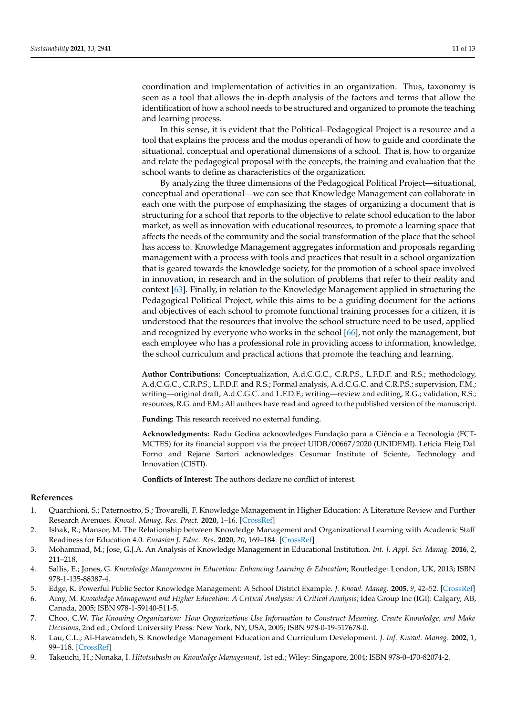coordination and implementation of activities in an organization. Thus, taxonomy is seen as a tool that allows the in-depth analysis of the factors and terms that allow the

and learning process. In this sense, it is evident that the Political–Pedagogical Project is a resource and a tool that explains the process and the modus operandi of how to guide and coordinate the situational, conceptual and operational dimensions of a school. That is, how to organize and relate the pedagogical proposal with the concepts, the training and evaluation that the school wants to define as characteristics of the organization.

identification of how a school needs to be structured and organized to promote the teaching

By analyzing the three dimensions of the Pedagogical Political Project—situational, conceptual and operational—we can see that Knowledge Management can collaborate in each one with the purpose of emphasizing the stages of organizing a document that is structuring for a school that reports to the objective to relate school education to the labor market, as well as innovation with educational resources, to promote a learning space that affects the needs of the community and the social transformation of the place that the school has access to. Knowledge Management aggregates information and proposals regarding management with a process with tools and practices that result in a school organization that is geared towards the knowledge society, for the promotion of a school space involved in innovation, in research and in the solution of problems that refer to their reality and context [\[63\]](#page-12-17). Finally, in relation to the Knowledge Management applied in structuring the Pedagogical Political Project, while this aims to be a guiding document for the actions and objectives of each school to promote functional training processes for a citizen, it is understood that the resources that involve the school structure need to be used, applied and recognized by everyone who works in the school [\[66\]](#page-12-20), not only the management, but each employee who has a professional role in providing access to information, knowledge, the school curriculum and practical actions that promote the teaching and learning.

**Author Contributions:** Conceptualization, A.d.C.G.C., C.R.P.S., L.F.D.F. and R.S.; methodology, A.d.C.G.C., C.R.P.S., L.F.D.F. and R.S.; Formal analysis, A.d.C.G.C. and C.R.P.S.; supervision, F.M.; writing—original draft, A.d.C.G.C. and L.F.D.F.; writing—review and editing, R.G.; validation, R.S.; resources, R.G. and F.M.; All authors have read and agreed to the published version of the manuscript.

**Funding:** This research received no external funding.

**Acknowledgments:** Radu Godina acknowledges Fundação para a Ciência e a Tecnologia (FCT-MCTES) for its financial support via the project UIDB/00667/2020 (UNIDEMI). Letícia Fleig Dal Forno and Rejane Sartori acknowledges Cesumar Institute of Sciente, Technology and Innovation (CISTI).

**Conflicts of Interest:** The authors declare no conflict of interest.

#### **References**

- <span id="page-10-0"></span>1. Quarchioni, S.; Paternostro, S.; Trovarelli, F. Knowledge Management in Higher Education: A Literature Review and Further Research Avenues. *Knowl. Manag. Res. Pract.* **2020**, 1–16. [\[CrossRef\]](http://doi.org/10.1080/14778238.2020.1730717)
- <span id="page-10-1"></span>2. Ishak, R.; Mansor, M. The Relationship between Knowledge Management and Organizational Learning with Academic Staff Readiness for Education 4.0. *Eurasian J. Educ. Res.* **2020**, *20*, 169–184. [\[CrossRef\]](http://doi.org/10.14689/ejer.2020.85.8)
- <span id="page-10-2"></span>3. Mohammad, M.; Jose, G.J.A. An Analysis of Knowledge Management in Educational Institution. *Int. J. Appl. Sci. Manag.* **2016**, *2*, 211–218.
- <span id="page-10-3"></span>4. Sallis, E.; Jones, G. *Knowledge Management in Education: Enhancing Learning & Education*; Routledge: London, UK, 2013; ISBN 978-1-135-88387-4.
- <span id="page-10-8"></span>5. Edge, K. Powerful Public Sector Knowledge Management: A School District Example. *J. Knowl. Manag.* **2005**, *9*, 42–52. [\[CrossRef\]](http://doi.org/10.1108/13673270510629954)
- <span id="page-10-4"></span>6. Amy, M. *Knowledge Management and Higher Education: A Critical Analysis: A Critical Analysis*; Idea Group Inc (IGI): Calgary, AB, Canada, 2005; ISBN 978-1-59140-511-5.
- <span id="page-10-5"></span>7. Choo, C.W. *The Knowing Organization: How Organizations Use Information to Construct Meaning, Create Knowledge, and Make Decisions*, 2nd ed.; Oxford University Press: New York, NY, USA, 2005; ISBN 978-0-19-517678-0.
- <span id="page-10-6"></span>8. Lau, C.L.; Al-Hawamdeh, S. Knowledge Management Education and Curriculum Development. *J. Inf. Knowl. Manag.* **2002**, *1*, 99–118. [\[CrossRef\]](http://doi.org/10.1142/S021964920200042X)
- <span id="page-10-7"></span>9. Takeuchi, H.; Nonaka, I. *Hitotsubashi on Knowledge Management*, 1st ed.; Wiley: Singapore, 2004; ISBN 978-0-470-82074-2.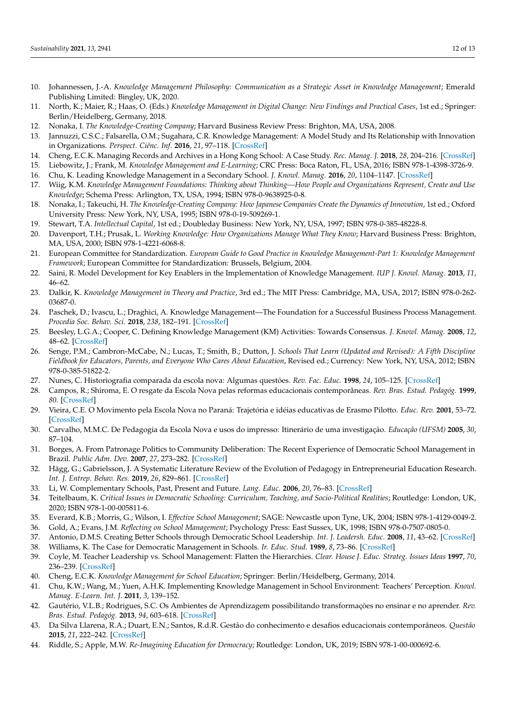- <span id="page-11-0"></span>10. Johannessen, J.-A. *Knowledge Management Philosophy: Communication as a Strategic Asset in Knowledge Management*; Emerald Publishing Limited: Bingley, UK, 2020.
- <span id="page-11-1"></span>11. North, K.; Maier, R.; Haas, O. (Eds.) *Knowledge Management in Digital Change: New Findings and Practical Cases*, 1st ed.; Springer: Berlin/Heidelberg, Germany, 2018.
- <span id="page-11-2"></span>12. Nonaka, I. *The Knowledge-Creating Company*; Harvard Business Review Press: Brighton, MA, USA, 2008.
- <span id="page-11-3"></span>13. Jannuzzi, C.S.C.; Falsarella, O.M.; Sugahara, C.R. Knowledge Management: A Model Study and Its Relationship with Innovation in Organizations. *Perspect. Ciênc. Inf.* **2016**, *21*, 97–118. [\[CrossRef\]](http://doi.org/10.1590/1981-5344/2462)
- <span id="page-11-4"></span>14. Cheng, E.C.K. Managing Records and Archives in a Hong Kong School: A Case Study. *Rec. Manag. J.* **2018**, *28*, 204–216. [\[CrossRef\]](http://doi.org/10.1108/RMJ-02-2017-0004)
- 15. Liebowitz, J.; Frank, M. *Knowledge Management and E-Learning*; CRC Press: Boca Raton, FL, USA, 2016; ISBN 978-1-4398-3726-9.
- <span id="page-11-5"></span>16. Chu, K. Leading Knowledge Management in a Secondary School. *J. Knowl. Manag.* **2016**, *20*, 1104–1147. [\[CrossRef\]](http://doi.org/10.1108/JKM-10-2015-0390)
- <span id="page-11-6"></span>17. Wiig, K.M. *Knowledge Management Foundations: Thinking about Thinking—How People and Organizations Represent, Create and Use Knowledge*; Schema Press: Arlington, TX, USA, 1994; ISBN 978-0-9638925-0-8.
- <span id="page-11-7"></span>18. Nonaka, I.; Takeuchi, H. *The Knowledge-Creating Company: How Japanese Companies Create the Dynamics of Innovation*, 1st ed.; Oxford University Press: New York, NY, USA, 1995; ISBN 978-0-19-509269-1.
- <span id="page-11-8"></span>19. Stewart, T.A. *Intellectual Capital*, 1st ed.; Doubleday Business: New York, NY, USA, 1997; ISBN 978-0-385-48228-8.
- <span id="page-11-9"></span>20. Davenport, T.H.; Prusak, L. *Working Knowledge: How Organizations Manage What They Know*; Harvard Business Press: Brighton, MA, USA, 2000; ISBN 978-1-4221-6068-8.
- <span id="page-11-10"></span>21. European Committee for Standardization. *European Guide to Good Practice in Knowledge Management-Part 1: Knowledge Management Framework*; European Committee for Standardization: Brussels, Belgium, 2004.
- <span id="page-11-11"></span>22. Saini, R. Model Development for Key Enablers in the Implementation of Knowledge Management. *IUP J. Knowl. Manag.* **2013**, *11*, 46–62.
- <span id="page-11-12"></span>23. Dalkir, K. *Knowledge Management in Theory and Practice*, 3rd ed.; The MIT Press: Cambridge, MA, USA, 2017; ISBN 978-0-262- 03687-0.
- <span id="page-11-13"></span>24. Paschek, D.; Ivascu, L.; Draghici, A. Knowledge Management—The Foundation for a Successful Business Process Management. *Procedia Soc. Behav. Sci.* **2018**, *238*, 182–191. [\[CrossRef\]](http://doi.org/10.1016/j.sbspro.2018.03.022)
- <span id="page-11-14"></span>25. Beesley, L.G.A.; Cooper, C. Defining Knowledge Management (KM) Activities: Towards Consensus. *J. Knowl. Manag.* **2008**, *12*, 48–62. [\[CrossRef\]](http://doi.org/10.1108/13673270810875859)
- <span id="page-11-15"></span>26. Senge, P.M.; Cambron-McCabe, N.; Lucas, T.; Smith, B.; Dutton, J. *Schools That Learn (Updated and Revised): A Fifth Discipline Fieldbook for Educators, Parents, and Everyone Who Cares About Education*, Revised ed.; Currency: New York, NY, USA, 2012; ISBN 978-0-385-51822-2.
- <span id="page-11-16"></span>27. Nunes, C. Historiografia comparada da escola nova: Algumas questões. *Rev. Fac. Educ.* **1998**, *24*, 105–125. [\[CrossRef\]](http://doi.org/10.1590/S0102-25551998000100008)
- <span id="page-11-17"></span>28. Campos, R.; Shiroma, E. O resgate da Escola Nova pelas reformas educacionais contemporâneas. *Rev. Bras. Estud. Pedagóg.* **1999**, *80*. [\[CrossRef\]](http://doi.org/10.24109/2176-6681.rbep.80i196.988)
- 29. Vieira, C.E. O Movimento pela Escola Nova no Paraná: Trajetória e idéias educativas de Erasmo Pilotto. *Educ. Rev.* **2001**, 53–72. [\[CrossRef\]](http://doi.org/10.1590/0104-4060.234)
- <span id="page-11-18"></span>30. Carvalho, M.M.C. De Pedagogia da Escola Nova e usos do impresso: Itinerário de uma investigação. *Educação (UFSM)* **2005**, *30*, 87–104.
- <span id="page-11-19"></span>31. Borges, A. From Patronage Politics to Community Deliberation: The Recent Experience of Democratic School Management in Brazil. *Public Adm. Dev.* **2007**, *27*, 273–282. [\[CrossRef\]](http://doi.org/10.1002/pad.464)
- <span id="page-11-20"></span>32. Hägg, G.; Gabrielsson, J. A Systematic Literature Review of the Evolution of Pedagogy in Entrepreneurial Education Research. *Int. J. Entrep. Behav. Res.* **2019**, *26*, 829–861. [\[CrossRef\]](http://doi.org/10.1108/IJEBR-04-2018-0272)
- <span id="page-11-21"></span>33. Li, W. Complementary Schools, Past, Present and Future. *Lang. Educ.* **2006**, *20*, 76–83. [\[CrossRef\]](http://doi.org/10.1080/09500780608668711)
- <span id="page-11-22"></span>34. Teitelbaum, K. *Critical Issues in Democratic Schooling: Curriculum, Teaching, and Socio-Political Realities*; Routledge: London, UK, 2020; ISBN 978-1-00-005811-6.
- <span id="page-11-23"></span>35. Everard, K.B.; Morris, G.; Wilson, I. *Effective School Management*; SAGE: Newcastle upon Tyne, UK, 2004; ISBN 978-1-4129-0049-2.
- <span id="page-11-24"></span>36. Gold, A.; Evans, J.M. *Reflecting on School Management*; Psychology Press: East Sussex, UK, 1998; ISBN 978-0-7507-0805-0.
- <span id="page-11-25"></span>37. Antonio, D.M.S. Creating Better Schools through Democratic School Leadership. *Int. J. Leadersh. Educ.* **2008**, *11*, 43–62. [\[CrossRef\]](http://doi.org/10.1080/13603120601174311)
- <span id="page-11-26"></span>38. Williams, K. The Case for Democratic Management in Schools. *Ir. Educ. Stud.* **1989**, *8*, 73–86. [\[CrossRef\]](http://doi.org/10.1080/0332331890080208)
- <span id="page-11-27"></span>39. Coyle, M. Teacher Leadership vs. School Management: Flatten the Hierarchies. *Clear. House J. Educ. Strateg. Issues Ideas* **1997**, *70*, 236–239. [\[CrossRef\]](http://doi.org/10.1080/00098655.1997.10543923)
- <span id="page-11-28"></span>40. Cheng, E.C.K. *Knowledge Management for School Education*; Springer: Berlin/Heidelberg, Germany, 2014.
- <span id="page-11-29"></span>41. Chu, K.W.; Wang, M.; Yuen, A.H.K. Implementing Knowledge Management in School Environment: Teachers' Perception. *Knowl. Manag. E-Learn. Int. J.* **2011**, *3*, 139–152.
- <span id="page-11-30"></span>42. Gautério, V.L.B.; Rodrigues, S.C. Os Ambientes de Aprendizagem possibilitando transformações no ensinar e no aprender. *Rev. Bras. Estud. Pedagóg.* **2013**, *94*, 603–618. [\[CrossRef\]](http://doi.org/10.1590/S2176-66812013000200013)
- <span id="page-11-31"></span>43. Da Silva Llarena, R.A.; Duart, E.N.; Santos, R.d.R. Gestão do conhecimento e desafios educacionais contemporâneos. *Questão* **2015**, *21*, 222–242. [\[CrossRef\]](http://doi.org/10.19132/1808-5245212.222-242)
- <span id="page-11-32"></span>44. Riddle, S.; Apple, M.W. *Re-Imagining Education for Democracy*; Routledge: London, UK, 2019; ISBN 978-1-00-000692-6.